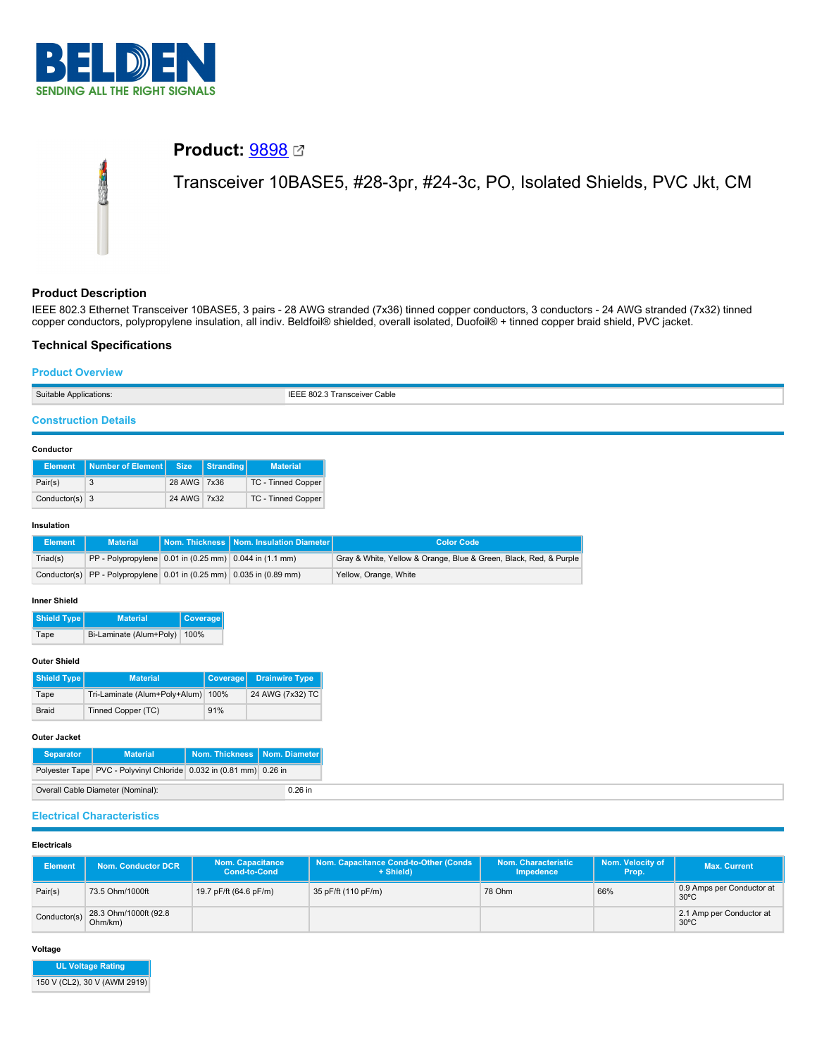

# **Product:** [9898](https://catalog.belden.com/index.cfm?event=pd&p=PF_9898&tab=downloads)

Transceiver 10BASE5, #28-3pr, #24-3c, PO, Isolated Shields, PVC Jkt, CM

# **Product Description**

IEEE 802.3 Ethernet Transceiver 10BASE5, 3 pairs - 28 AWG stranded (7x36) tinned copper conductors, 3 conductors - 24 AWG stranded (7x32) tinned copper conductors, polypropylene insulation, all indiv. Beldfoil® shielded, overall isolated, Duofoil® + tinned copper braid shield, PVC jacket.

# **Technical Specifications**

### **Product Overview**

| Suitable Applications: | IEEE 802.3 Transceiver Cable |
|------------------------|------------------------------|
|                        |                              |

# **Construction Details**

#### **Conductor**

|                  | Element   Number of Element   Size |             | Stranding | <b>Material</b>    |
|------------------|------------------------------------|-------------|-----------|--------------------|
| Pair(s)          |                                    | 28 AWG 7x36 |           | TC - Tinned Copper |
| Conductor(s) $3$ |                                    | 24 AWG 7x32 |           | TC - Tinned Copper |

#### **Insulation**

| Element  | <b>Material</b>                                                                              | Nom. Thickness   Nom. Insulation Diameter | <b>Color Code</b>                                                 |
|----------|----------------------------------------------------------------------------------------------|-------------------------------------------|-------------------------------------------------------------------|
| Triad(s) | $ PP - Polypropylene  0.01$ in $(0.25$ mm $)$ 0.044 in $(1.1$ mm                             |                                           | Gray & White, Yellow & Orange, Blue & Green, Black, Red, & Purple |
|          | Conductor(s) $\vert$ PP - Polypropylene $\vert$ 0.01 in (0.25 mm) $\vert$ 0.035 in (0.89 mm) |                                           | Yellow, Orange, White                                             |

# **Inner Shield**

**Shield Type Material Coverage** Tape Bi-Laminate (Alum+Poly) 100%

#### **Outer Shield**

| Shield Type  | <b>Material</b>                    | Coverage | <b>Drainwire Type</b> |
|--------------|------------------------------------|----------|-----------------------|
| Tape         | Tri-Laminate (Alum+Poly+Alum) 100% |          | 24 AWG (7x32) TC      |
| <b>Braid</b> | Tinned Copper (TC)                 | 91%      |                       |

#### **Outer Jacket**

| <b>Separator</b>                               | <b>Material</b>                                                    | Nom. Thickness   Nom. Diameter |  |  |
|------------------------------------------------|--------------------------------------------------------------------|--------------------------------|--|--|
|                                                | Polyester Tape PVC - Polyvinyl Chloride 0.032 in (0.81 mm) 0.26 in |                                |  |  |
| Overall Cable Diameter (Nominal):<br>$0.26$ in |                                                                    |                                |  |  |

#### **Electrical Characteristics**

# **Electricals**

| <b>Element</b> | <b>Nom. Conductor DCR</b>        | <b>Nom. Capacitance</b><br><b>Cond-to-Cond</b> | Nom. Capacitance Cond-to-Other (Conds<br>+ Shield) | Nom. Characteristic<br>Impedence | Nom. Velocity of<br>Prop. | <b>Max. Current</b>                         |
|----------------|----------------------------------|------------------------------------------------|----------------------------------------------------|----------------------------------|---------------------------|---------------------------------------------|
| Pair(s)        | 73.5 Ohm/1000ft                  | 19.7 pF/ft (64.6 pF/m)                         | 35 pF/ft (110 pF/m)                                | 78 Ohm                           | 66%                       | 0.9 Amps per Conductor at<br>$30^{\circ}$ C |
| Conductor(s)   | 28.3 Ohm/1000ft (92.8<br>Ohm/km) |                                                |                                                    |                                  |                           | 2.1 Amp per Conductor at<br>$30^{\circ}$ C  |

**Voltage**